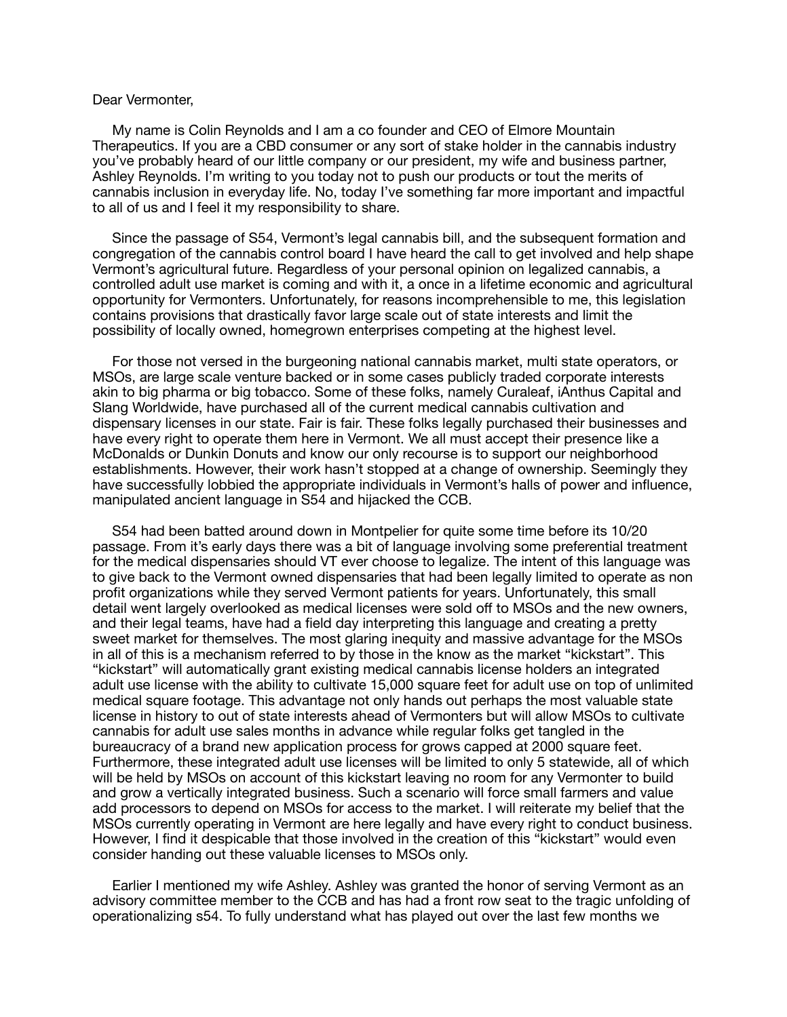## Dear Vermonter,

 My name is Colin Reynolds and I am a co founder and CEO of Elmore Mountain Therapeutics. If you are a CBD consumer or any sort of stake holder in the cannabis industry you've probably heard of our little company or our president, my wife and business partner, Ashley Reynolds. I'm writing to you today not to push our products or tout the merits of cannabis inclusion in everyday life. No, today I've something far more important and impactful to all of us and I feel it my responsibility to share.

 Since the passage of S54, Vermont's legal cannabis bill, and the subsequent formation and congregation of the cannabis control board I have heard the call to get involved and help shape Vermont's agricultural future. Regardless of your personal opinion on legalized cannabis, a controlled adult use market is coming and with it, a once in a lifetime economic and agricultural opportunity for Vermonters. Unfortunately, for reasons incomprehensible to me, this legislation contains provisions that drastically favor large scale out of state interests and limit the possibility of locally owned, homegrown enterprises competing at the highest level.

 For those not versed in the burgeoning national cannabis market, multi state operators, or MSOs, are large scale venture backed or in some cases publicly traded corporate interests akin to big pharma or big tobacco. Some of these folks, namely Curaleaf, iAnthus Capital and Slang Worldwide, have purchased all of the current medical cannabis cultivation and dispensary licenses in our state. Fair is fair. These folks legally purchased their businesses and have every right to operate them here in Vermont. We all must accept their presence like a McDonalds or Dunkin Donuts and know our only recourse is to support our neighborhood establishments. However, their work hasn't stopped at a change of ownership. Seemingly they have successfully lobbied the appropriate individuals in Vermont's halls of power and influence, manipulated ancient language in S54 and hijacked the CCB.

 S54 had been batted around down in Montpelier for quite some time before its 10/20 passage. From it's early days there was a bit of language involving some preferential treatment for the medical dispensaries should VT ever choose to legalize. The intent of this language was to give back to the Vermont owned dispensaries that had been legally limited to operate as non profit organizations while they served Vermont patients for years. Unfortunately, this small detail went largely overlooked as medical licenses were sold off to MSOs and the new owners, and their legal teams, have had a field day interpreting this language and creating a pretty sweet market for themselves. The most glaring inequity and massive advantage for the MSOs in all of this is a mechanism referred to by those in the know as the market "kickstart". This "kickstart" will automatically grant existing medical cannabis license holders an integrated adult use license with the ability to cultivate 15,000 square feet for adult use on top of unlimited medical square footage. This advantage not only hands out perhaps the most valuable state license in history to out of state interests ahead of Vermonters but will allow MSOs to cultivate cannabis for adult use sales months in advance while regular folks get tangled in the bureaucracy of a brand new application process for grows capped at 2000 square feet. Furthermore, these integrated adult use licenses will be limited to only 5 statewide, all of which will be held by MSOs on account of this kickstart leaving no room for any Vermonter to build and grow a vertically integrated business. Such a scenario will force small farmers and value add processors to depend on MSOs for access to the market. I will reiterate my belief that the MSOs currently operating in Vermont are here legally and have every right to conduct business. However, I find it despicable that those involved in the creation of this "kickstart" would even consider handing out these valuable licenses to MSOs only.

 Earlier I mentioned my wife Ashley. Ashley was granted the honor of serving Vermont as an advisory committee member to the CCB and has had a front row seat to the tragic unfolding of operationalizing s54. To fully understand what has played out over the last few months we